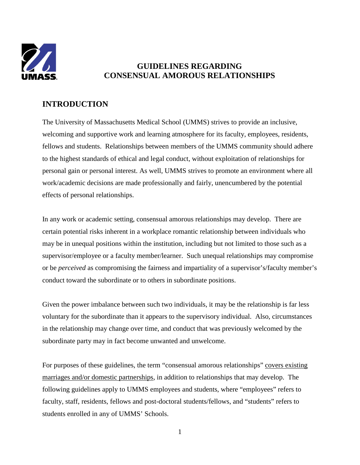

## **GUIDELINES REGARDING CONSENSUAL AMOROUS RELATIONSHIPS**

## **INTRODUCTION**

The University of Massachusetts Medical School (UMMS) strives to provide an inclusive, welcoming and supportive work and learning atmosphere for its faculty, employees, residents, fellows and students. Relationships between members of the UMMS community should adhere to the highest standards of ethical and legal conduct, without exploitation of relationships for personal gain or personal interest. As well, UMMS strives to promote an environment where all work/academic decisions are made professionally and fairly, unencumbered by the potential effects of personal relationships.

In any work or academic setting, consensual amorous relationships may develop. There are certain potential risks inherent in a workplace romantic relationship between individuals who may be in unequal positions within the institution, including but not limited to those such as a supervisor/employee or a faculty member/learner. Such unequal relationships may compromise or be *perceived* as compromising the fairness and impartiality of a supervisor's/faculty member's conduct toward the subordinate or to others in subordinate positions.

Given the power imbalance between such two individuals, it may be the relationship is far less voluntary for the subordinate than it appears to the supervisory individual. Also, circumstances in the relationship may change over time, and conduct that was previously welcomed by the subordinate party may in fact become unwanted and unwelcome.

For purposes of these guidelines, the term "consensual amorous relationships" covers existing marriages and/or domestic partnerships, in addition to relationships that may develop. The following guidelines apply to UMMS employees and students, where "employees" refers to faculty, staff, residents, fellows and post-doctoral students/fellows, and "students" refers to students enrolled in any of UMMS' Schools.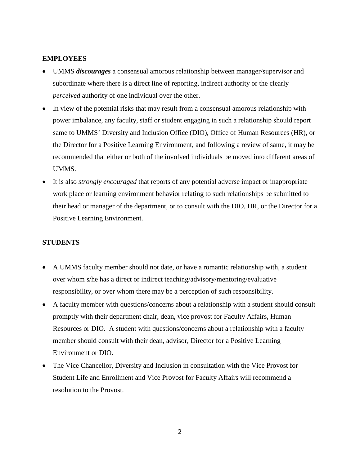## **EMPLOYEES**

- UMMS *discourages* a consensual amorous relationship between manager/supervisor and subordinate where there is a direct line of reporting, indirect authority or the clearly *perceived* authority of one individual over the other.
- In view of the potential risks that may result from a consensual amorous relationship with power imbalance, any faculty, staff or student engaging in such a relationship should report same to UMMS' Diversity and Inclusion Office (DIO), Office of Human Resources (HR), or the Director for a Positive Learning Environment, and following a review of same, it may be recommended that either or both of the involved individuals be moved into different areas of UMMS.
- It is also *strongly encouraged* that reports of any potential adverse impact or inappropriate work place or learning environment behavior relating to such relationships be submitted to their head or manager of the department, or to consult with the DIO, HR, or the Director for a Positive Learning Environment.

## **STUDENTS**

- A UMMS faculty member should not date, or have a romantic relationship with, a student over whom s/he has a direct or indirect teaching/advisory/mentoring/evaluative responsibility, or over whom there may be a perception of such responsibility.
- A faculty member with questions/concerns about a relationship with a student should consult promptly with their department chair, dean, vice provost for Faculty Affairs, Human Resources or DIO. A student with questions/concerns about a relationship with a faculty member should consult with their dean, advisor, Director for a Positive Learning Environment or DIO.
- The Vice Chancellor, Diversity and Inclusion in consultation with the Vice Provost for Student Life and Enrollment and Vice Provost for Faculty Affairs will recommend a resolution to the Provost.